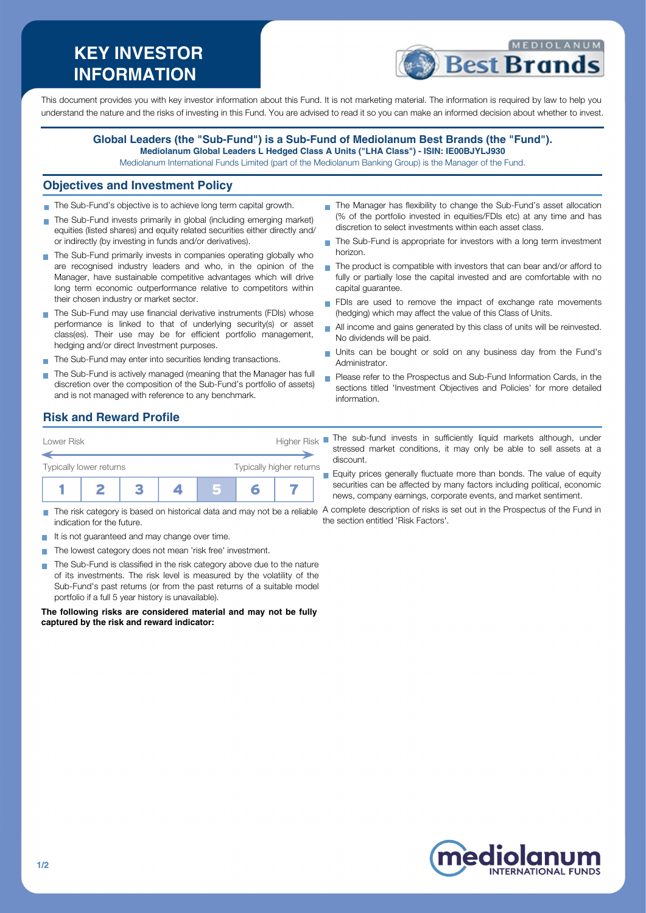# **KEY INVESTOR INFORMATION**



This document provides you with key investor information about this Fund. It is not marketing material. The information is required by law to help you understand the nature and the risks of investing in this Fund. You are advised to read it so you can make an informed decision about whether to invest.

#### **Global Leaders (the "Sub-Fund") is a Sub-Fund of Mediolanum Best Brands (the "Fund"). Mediolanum Global Leaders L Hedged Class A Units ("LHA Class") - ISIN: IE00BJYLJ930**

Mediolanum International Funds Limited (part of the Mediolanum Banking Group) is the Manager of the Fund.

#### **Objectives and Investment Policy**

- The Sub-Fund's objective is to achieve long term capital growth.
- The Sub-Fund invests primarily in global (including emerging market) equities (listed shares) and equity related securities either directly and/ or indirectly (by investing in funds and/or derivatives).
- The Sub-Fund primarily invests in companies operating globally who are recognised industry leaders and who, in the opinion of the Manager, have sustainable competitive advantages which will drive long term economic outperformance relative to competitors within their chosen industry or market sector.
- The Sub-Fund may use financial derivative instruments (FDIs) whose performance is linked to that of underlying security(s) or asset class(es). Their use may be for efficient portfolio management, hedging and/or direct Investment purposes.
- The Sub-Fund may enter into securities lending transactions.
- The Sub-Fund is actively managed (meaning that the Manager has full discretion over the composition of the Sub-Fund's portfolio of assets) and is not managed with reference to any benchmark.
- The Manager has flexibility to change the Sub-Fund's asset allocation (% of the portfolio invested in equities/FDIs etc) at any time and has discretion to select investments within each asset class.
- The Sub-Fund is appropriate for investors with a long term investment horizon.
- The product is compatible with investors that can bear and/or afford to fully or partially lose the capital invested and are comfortable with no capital guarantee.
- FDIs are used to remove the impact of exchange rate movements (hedging) which may affect the value of this Class of Units.
- All income and gains generated by this class of units will be reinvested. No dividends will be paid.
- Units can be bought or sold on any business day from the Fund's Administrator.
- **Please refer to the Prospectus and Sub-Fund Information Cards, in the** sections titled 'Investment Objectives and Policies' for more detailed information.

# **Risk and Reward Profile**

| Lower Risk              |  | Higher Risk <sup>I</sup> |  |  |  |  |
|-------------------------|--|--------------------------|--|--|--|--|
|                         |  |                          |  |  |  |  |
| Typically lower returns |  | Typically higher returns |  |  |  |  |
|                         |  |                          |  |  |  |  |

- indication for the future.
- $\blacksquare$  It is not guaranteed and may change over time.
- The lowest category does not mean 'risk free' investment.
- The Sub-Fund is classified in the risk category above due to the nature m. of its investments. The risk level is measured by the volatility of the Sub-Fund's past returns (or from the past returns of a suitable model portfolio if a full 5 year history is unavailable).

**The following risks are considered material and may not be fully captured by the risk and reward indicator:**

- The sub-fund invests in sufficiently liquid markets although, under stressed market conditions, it may only be able to sell assets at a discount.
- Equity prices generally fluctuate more than bonds. The value of equity securities can be affected by many factors including political, economic news, company earnings, corporate events, and market sentiment.

The risk category is based on historical data and may not be a reliable A complete description of risks is set out in the Prospectus of the Fund in the section entitled 'Risk Factors'.